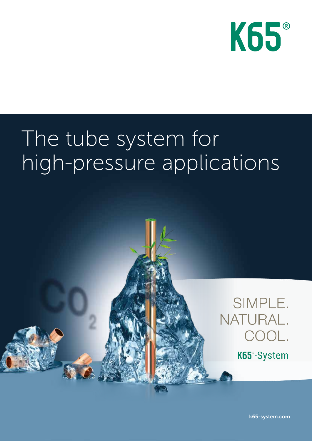

# The tube system for high-pressure applications



k65-system.com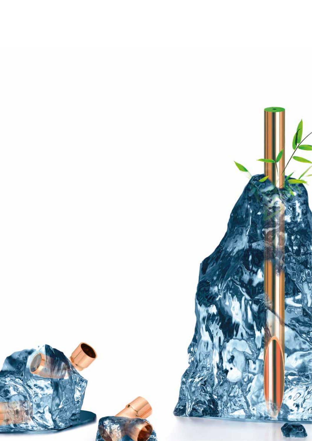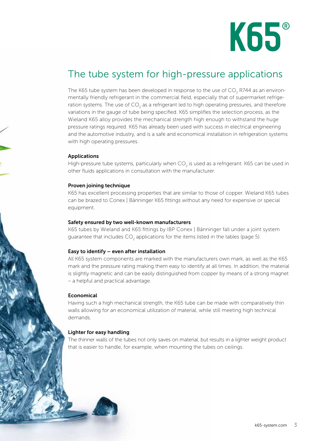

### The tube system for high-pressure applications

The K65 tube system has been developed in response to the use of CO<sub>2</sub> R744 as an environmentally friendly refrigerant in the commercial field, especially that of supermarket refrigeration systems. The use of CO<sub>2</sub> as a refrigerant led to high operating pressures, and therefore variations in the gauge of tube being specified. K65 simplifies the selection process, as the Wieland K65 alloy provides the mechanical strength high enough to withstand the huge pressure ratings required. K65 has already been used with success in electrical engineering and the automotive industry, and is a safe and economical installation in refrigeration systems with high operating pressures.

#### Applications

High-pressure tube systems, particularly when CO<sub>2</sub> is used as a refrigerant. K65 can be used in other fluids applications in consultation with the manufacturer.

#### Proven joining technique

K65 has excellent processing properties that are similar to those of copper. Wieland K65 tubes can be brazed to Conex | Bänninger K65 fittings without any need for expensive or special equipment.

#### Safety ensured by two well-known manufacturers

K65 tubes by Wieland and K65 fittings by IBP Conex | Bänninger fall under a joint system guarantee that includes CO<sub>2</sub> applications for the items listed in the tables (page 5).

#### Easy to identify – even after installation

All K65 system components are marked with the manufacturers own mark, as well as the K65 mark and the pressure rating making them easy to identify at all times. In addition, the material is slightly magnetic and can be easily distinguished from copper by means of a strong magnet – a helpful and practical advantage.

#### Economical

Having such a high mechanical strength, the K65 tube can be made with comparatively thin walls allowing for an economical utilization of material, while still meeting high technical demands.

#### Lighter for easy handling

The thinner walls of the tubes not only saves on material, but results in a lighter weight product that is easier to handle, for example, when mounting the tubes on ceilings.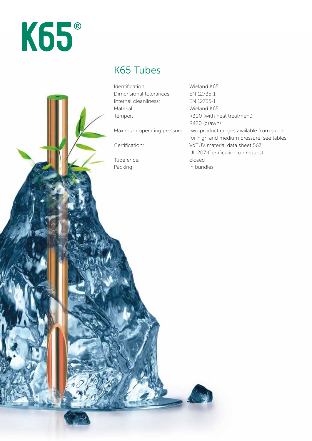

### K65 Tubes

Identification: Wieland K65 Dimensional tolerances: EN 12735-1 Internal cleanliness: EN 12735-1 Material: Wieland K65

Tube ends: closed Packing: in bundles

Temper: Temper: R300 (with heat treatment) R420 (drawn) Maximum operating pressure: two product ranges available from stock for high and medium pressure, see tables Certification: VdTÜV material data sheet 567 UL 207-Certification on request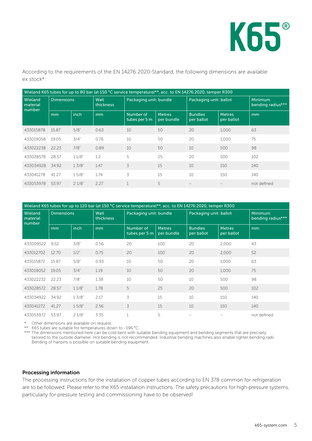

According to the requirements of the EN 14276:2020-Standard, the following dimensions are available ex stock\*:

| Wieland K65 tubes for up to 80 bar (at 150 °C service temperature)**, acc. to EN 14276:2020, temper R300 |                   |       |                   |                            |                             |                              |                             |                                     |  |
|----------------------------------------------------------------------------------------------------------|-------------------|-------|-------------------|----------------------------|-----------------------------|------------------------------|-----------------------------|-------------------------------------|--|
| Wieland<br>material<br>number                                                                            | <b>Dimensions</b> |       | Wall<br>thickness | Packaging unit: bundle     |                             | Packaging unit: ballot       |                             | <b>Minimum</b><br>bending radius*** |  |
|                                                                                                          | mm                | inch  | mm                | Number of<br>tubes per 5 m | <b>Metres</b><br>per bundle | <b>Bundles</b><br>per ballot | <b>Metres</b><br>per ballot | mm                                  |  |
| 433015878                                                                                                | 15.87             | 5/8"  | 0.63              | 10                         | $50^{\circ}$                | 20                           | 1,000                       | 63                                  |  |
| 433019058                                                                                                | 19.05             | 3/4"  | 0.76              | 10                         | 50                          | 20                           | 1.000                       | 75                                  |  |
| 433022238                                                                                                | 22.23             | 7/8"  | 0.89              | 10                         | 50                          | 10                           | 500                         | 98                                  |  |
| 433028578                                                                                                | 28.57             | 11/8" | 1.2               | 5                          | 25                          | 20                           | 500                         | 10 <sup>2</sup>                     |  |
| 433034928                                                                                                | 34.92             | 13/8" | 1.47              | 3                          | 15                          | 10                           | 150                         | 140                                 |  |
| 433041278                                                                                                | 41.27             | 15/8" | 1.74              | 3                          | 15                          | 10                           | 150                         | 140                                 |  |
| 433053978                                                                                                | 53.97             | 21/8" | 2.27              | 1                          | 5                           |                              |                             | not defined                         |  |

| Wieland K65 tubes for up to 120 bar (at 150 °C service temperature)**, acc. to EN 14276:2020, temper R300 |                   |             |                   |                            |                             |                              |                             |                              |
|-----------------------------------------------------------------------------------------------------------|-------------------|-------------|-------------------|----------------------------|-----------------------------|------------------------------|-----------------------------|------------------------------|
| Wieland<br>material<br>number                                                                             | <b>Dimensions</b> |             | Wall<br>thickness | Packaging unit: bundle     |                             | Packaging unit: ballot       |                             | Minimum<br>bending radius*** |
|                                                                                                           | mm                | <i>inch</i> | mm                | Number of<br>tubes per 5 m | <b>Metres</b><br>per bundle | <b>Bundles</b><br>per ballot | <b>Metres</b><br>per ballot | mm                           |
| 433009522                                                                                                 | 9.52              | 3/8"        | 0.56              | 20                         | 100                         | 20                           | 2.000                       | 43                           |
| 433012702                                                                                                 | 12.70             | $1/2$ "     | 0.75              | 20                         | 100                         | 20                           | 2.000                       | 52                           |
| 433015872                                                                                                 | 15.87             | 5/8"        | 0.93              | 10                         | 50                          | 20                           | 1.000                       | 63                           |
| 433019052                                                                                                 | 19.05             | 3/4"        | 1.19              | 10                         | $50^{\circ}$                | 20                           | 1.000                       | 75                           |
| 433022232                                                                                                 | 22.23             | 7/8"        | 1.38              | 10                         | 50                          | 10                           | 500                         | 98                           |
| 433028572                                                                                                 | 28.57             | 11/8        | 1.78              | 5                          | 25                          | 20                           | 500                         | 102                          |
| 433034922                                                                                                 | 34.92             | 13/8"       | 2.17              | 3                          | 15                          | 10                           | 150                         | 140                          |
| 433041272                                                                                                 | 41.27             | 15/8"       | 2.56              | 3                          | 15                          | 10                           | 150                         | 140                          |
| 433053972                                                                                                 | 53.97             | 21/8"       | 3.35              | $\mathbf{1}$               | 5                           |                              |                             | not defined                  |

\* Other dimensions are available on request.

\*\* K65 tubes are suitable for temperatures down to –196 °C.

\*\*\* The dimensions mentioned here can be cold bent with suitable bending equipment and bending segments that are precisely tailored to the outside diameter. Hot bending is not recommended. Industrial bending machines also enable tighter bending radii. Bending of hairpins is possible on suitable bending equipment.

#### Processing information

The processing instructions for the installation of copper tubes according to EN 378 common for refrigeration are to be followed. Please refer to the K65 installation instructions. The safety precautions for high-pressure systems, particularly for pressure testing and commissioning have to be observed!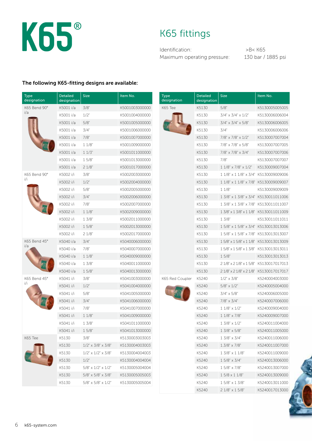

## K65 fittings

Identification: >B< K65 Maximum operating pressure: 130 bar / 1885 psi

#### The following K65-fitting designs are available:

| <b>Type</b><br>designation | <b>Detailed</b><br>designation | <b>Size</b>                 | Item No.       | <b>Type</b><br>designation | <b>Detailed</b><br>designation | <b>Size</b>                             | Item No.       |
|----------------------------|--------------------------------|-----------------------------|----------------|----------------------------|--------------------------------|-----------------------------------------|----------------|
| K65 Bend 90°<br>i/a        | K5001 i/a                      | 3/8"                        | K5001003000000 | K65 Tee                    | K5130                          | 5/8"                                    | K5130005005005 |
|                            | K5001 i/a                      | 1/2"                        | K5001004000000 |                            | K5130                          | $3/4$ " x $3/4$ " x $1/2$ "             | K5130006006004 |
|                            | K5001 i/a                      | 5/8"                        | K5001005000000 |                            | K5130                          | $3/4$ " x $3/4$ " x $5/8$ "             | K5130006006005 |
|                            | K5001 i/a                      | 3/4"                        | K5001006000000 |                            | K5130                          | 3/4"                                    | K5130006006006 |
|                            | K5001 i/a                      | 7/8"                        | K5001007000000 |                            | K5130                          | 7/8" x 7/8" x 1/2"                      | K5130007007004 |
|                            | K5001 i/a                      | 11/8                        | K5001009000000 |                            | K5130                          | $7/8$ " x $7/8$ " x $5/8$ "             | K5130007007005 |
|                            | K5001 i/a                      | 11/3"                       | K5001011000000 |                            | K5130                          | $7/8$ " x $7/8$ " x $3/4$ "             | K5130007007006 |
|                            | K5001 i/a                      | $15/8$ "                    | K5001013000000 |                            | K5130                          | 7/8"                                    | K5130007007007 |
|                            | K5001 i/a                      | 21/8"                       | K5001017000000 |                            | K5130                          | $11/8$ " x 7/8" x 1/2"                  | K5130009007004 |
| K65 Bend 90°               | K5002 i/i                      | 3/8"                        | K5002003000000 |                            | K5130                          | 1 1/8" x 1 1/8" x 3/4" K5130009009006   |                |
| i/i                        | K5002 i/i                      | $1/2$ "                     | K5002004000000 |                            | K5130                          | 1 1/8" x 1 1/8" x 7/8" K5130009009007   |                |
|                            | K5002 i/i                      | 5/8"                        | K5002005000000 |                            | K5130                          | $11/8$ "                                | K5130009009009 |
|                            | K5002 i/i                      | 3/4"                        | K5002006000000 |                            | K5130                          | 1 3/8" x 1 3/8" x 3/4" K5130011011006   |                |
|                            | K5002 i/i                      | 7/8"                        | K5002007000000 |                            | K5130                          | 1 3/8" x 1 3/8" x 7/8" K5130011011007   |                |
|                            | K5002 i/i                      | 11/8                        | K5002009000000 |                            | K5130                          | 1 3/8" x 1 3/8" x 1 1/8" K5130011011009 |                |
|                            | K5002 i/i                      | 13/8"                       | K5002011000000 |                            | K5130                          | 13/8"                                   | K5130011011011 |
|                            | K5002 i/i                      | $15/8$ "                    | K5002013000000 |                            | K5130                          | 1 5/8" x 1 5/8" x 3/4" K5130013013006   |                |
|                            | K5002 i/i                      | 21/8"                       | K5002017000000 |                            | K5130                          | 1 5/8" x 1 5/8" x 7/8" K5130013013007   |                |
| K65 Bend 45°               | K5040 i/a                      | 3/4"                        | K5040006000000 |                            | K5130                          | 15/8" x 15/8" x 1 1/8" K5130013013009   |                |
| i/a                        | K5040 i/a                      | 7/8"                        | K5040007000000 |                            | K5130                          | 15/8" x 15/8" x 13/8" K5130013013011    |                |
|                            | K5040 i/a                      | 11/8                        | K5040009000000 |                            | K5130                          | $15/8$ "                                | K5130013013013 |
|                            | K5040 i/a                      | $13/8$ "                    | K5040011000000 |                            | K5130                          | 21/8" x 21/8" x 15/8" K5130017017013    |                |
|                            | K5040 i/a                      | $15/8$ "                    | K5040013000000 |                            | K5130                          | 2 1/8" x 2 1/8" x 2 1/8" K5130017017017 |                |
| K65 Bend 45°               | K5041 i/i                      | 3/8"                        | K5041003000000 | K65 Red Coupler            | K5240                          | $1/2$ " x $3/8$ "                       | K5240004003000 |
| i/i                        | K5041 i/i                      | $1/2$ "                     | K5041004000000 |                            | K5240                          | $5/8$ " x $1/2$ "                       | K5240005004000 |
|                            | K5041 i/i                      | 5/8"                        | K5041005000000 |                            | K5240                          | $3/4$ " x $5/8$ "                       | K5240006005000 |
|                            | K5041 i/i                      | 3/4"                        | K5041006000000 |                            | K5240                          | $7/8$ " x $3/4$ "                       | K5240007006000 |
|                            | K5041 i/i                      | 7/8"                        | K5041007000000 |                            | K5240                          | $11/8$ " $\times$ $1/2$ "               | K5240009004000 |
|                            | K5041 i/i                      | $11/8$ "                    | K5041009000000 |                            | K5240                          | $11/8$ " x 7/8"                         | K5240009007000 |
|                            | K5041 i/i                      | 13/8                        | K5041011000000 |                            | K5240                          | 1 3/8" x 1/2"                           | K5240011004000 |
|                            | K5041 i/i                      | $15/8$ "                    | K5041013000000 |                            | K5240                          | $1\,3/8" \times 5/8"$                   | K5240011005000 |
| K65 Tee                    | K5130                          | 3/8"                        | K5130003003003 |                            | K5240                          | $1\,3/8" \times 3/4"$                   | K5240011006000 |
|                            | K5130                          | $1/2$ " x $3/8$ " x $3/8$ " | K5130004003003 |                            | K5240                          | $1.3/8" \times 7/8"$                    | K5240011007000 |
|                            | K5130                          | $1/2$ " x $1/2$ " x $3/8$ " | K5130004004003 |                            | K5240                          | $1\,3/8" \times 1\,1/8"$                | K5240011009000 |
|                            | K5130                          | 1/2"                        | K5130004004004 |                            | K5240                          | $15/8$ " x 3/4"                         | K5240013006000 |
|                            | K5130                          | $5/8$ " x $1/2$ " x $1/2$ " | K5130005004004 |                            | K5240                          | 1 5/8" x 7/8"                           | K5240013007000 |
|                            | K5130                          | $5/8$ " x $5/8$ " x $3/8$ " | K5130005005003 |                            | K5240                          | $15/8 \times 11/8$                      | K5240013009000 |
|                            | K5130                          | $5/8$ " x $5/8$ " x $1/2$ " | K5130005005004 |                            | K5240                          | $15/8$ " x $13/8$ "                     | K5240013011000 |
|                            |                                |                             |                |                            | K5240                          | 2 1/8" x 1 5/8"                         | K5240017013000 |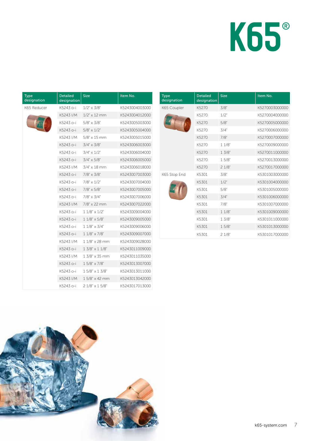

| <b>Type</b><br>designation | <b>Detailed</b><br>designation | Size                | Item No.       | Type<br>designation | <b>Detailed</b><br>designation | <b>Size</b> | Item No.       |
|----------------------------|--------------------------------|---------------------|----------------|---------------------|--------------------------------|-------------|----------------|
| K65 Reducer                | K5243 o-i                      | $1/2$ " x 3/8"      | K5243004003000 | K65 Coupler         | K5270                          | 3/8"        | K527000300000C |
|                            | K5243 I/M                      | $1/2$ " x 12 mm     | K5243004012000 |                     | K5270                          | 1/2"        | K5270004000000 |
|                            | K5243 o-i                      | $5/8$ " x $3/8$ "   | K5243005003000 |                     | K5270                          | 5/8"        | K527000500000C |
|                            | K5243 o-i                      | $5/8$ " x $1/2$ "   | K5243005004000 |                     | K5270                          | 3/4"        | K5270006000000 |
|                            | K5243 I/M                      | $5/8$ " x 15 mm     | K5243005015000 |                     | K5270                          | 7/8"        | K5270007000000 |
|                            | K5243 o-i                      | $3/4$ " x $3/8$ "   | K5243006003000 |                     | K5270                          | 11/8        | K5270009000000 |
|                            | K5243 o-i                      | $3/4$ " x $1/2$ "   | K5243006004000 |                     | K5270                          | $13/8$ "    | K5270011000000 |
|                            | K5243 o-i                      | $3/4$ " x $5/8$ "   | K5243006005000 |                     | K5270                          | $15/8$ "    | K527001300000C |
|                            | K5243 I/M                      | 3/4" x 18 mm        | K5243006018000 |                     | K5270                          | $21/8$ "    | K5270017000000 |
|                            | K5243 o-i                      | $7/8$ " x $3/8$ "   | K5243007003000 | K65 Stop End        | K5301                          | 3/8"        | K530100300000C |
|                            | K5243 o-i                      | $7/8$ " x $1/2$ "   | K5243007004000 |                     | K5301                          | 1/2"        | K5301004000000 |
|                            | K5243 o-i                      | $7/8$ " x 5/8"      | K5243007005000 |                     | K5301                          | 5/8"        | K530100500000C |
|                            | K5243 o-i                      | $7/8$ " x $3/4$ "   | K5243007006000 |                     | K5301                          | 3/4"        | K530100600000C |
|                            | K5243 I/M                      | 7/8" x 22 mm        | K5243007022000 |                     | K5301                          | 7/8"        | K530100700000C |
|                            | K5243 o-i                      | $11/8$ " x $1/2$ "  | K5243009004000 |                     | K5301                          | 11/8        | K530100900000C |
|                            | K5243 o-i                      | $11/8$ " x 5/8"     | K5243009005000 |                     | K5301                          | $13/8$ "    | K5301011000000 |
|                            | K5243 o-i                      | $11/8$ " x $3/4$ "  | K5243009006000 |                     | K5301                          | $15/8$ "    | K530101300000C |
|                            | K5243 o-i                      | $11/8$ " x 7/8"     | K5243009007000 |                     | K5301                          | 21/8"       | K530101700000C |
|                            | K5243 I/M                      | 1 1/8" x 28 mm      | K5243009028000 |                     |                                |             |                |
|                            | K5243 o-i                      | $13/8$ " x $11/8$ " | K5243011009000 |                     |                                |             |                |
|                            | K5243 I/M                      | 1 3/8" x 35 mm      | K5243011035000 |                     |                                |             |                |
|                            | K5243 o-i                      | 15/8" x 7/8"        | K5243013007000 |                     |                                |             |                |
|                            | K5243 o-i                      | 15/8" x 13/8"       | K5243013011000 |                     |                                |             |                |
|                            | K5243 I/M                      | 1 5/8" x 42 mm      | K5243013042000 |                     |                                |             |                |
|                            | K5243 o-i                      | 2 1/8" x 1 5/8"     | K5243017013000 |                     |                                |             |                |